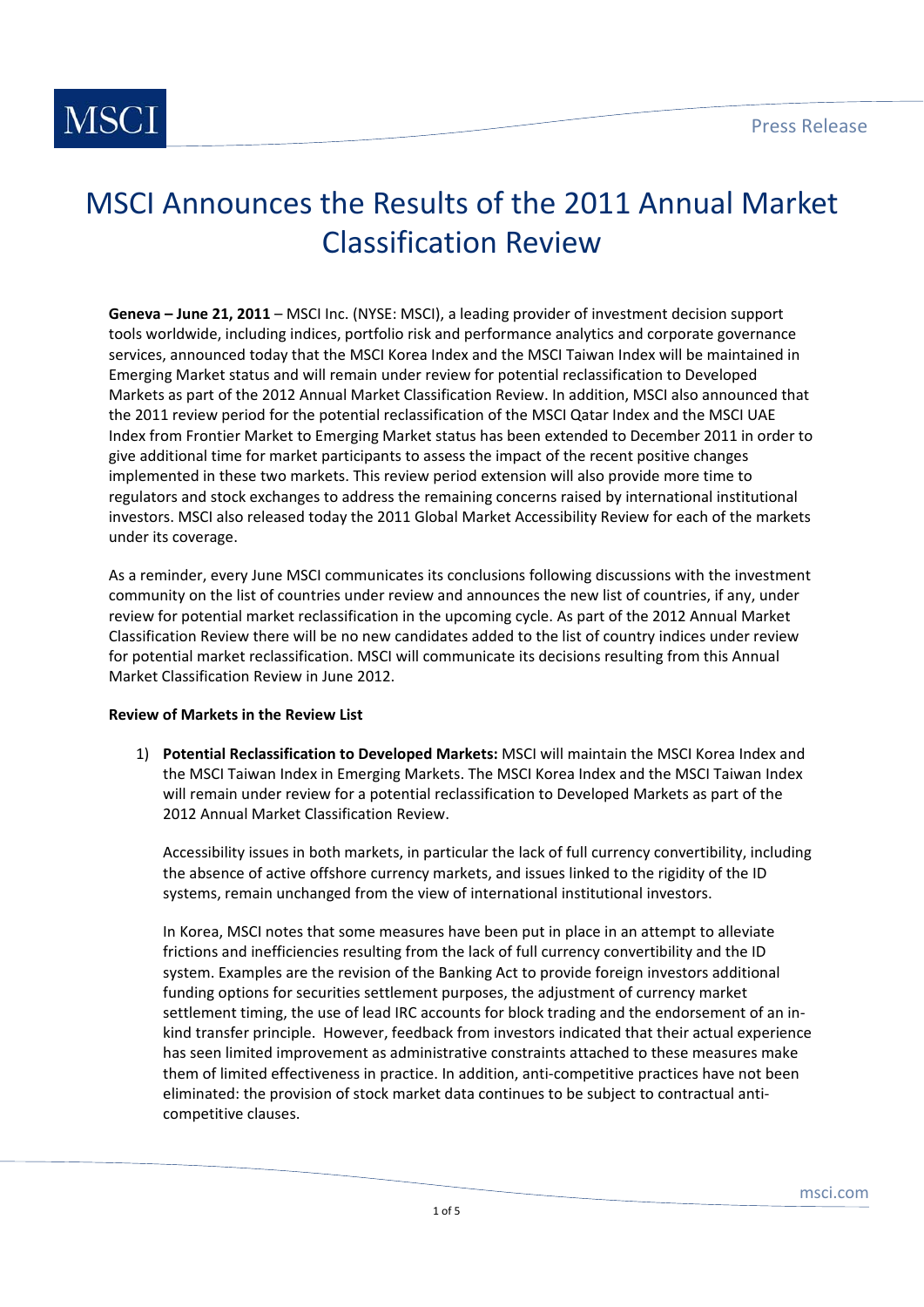

# MSCI Announces the Results of the 2011 Annual Market Classification Review

**Geneva – June 21, 2011** – MSCI Inc. (NYSE: MSCI), a leading provider of investment decision support tools worldwide, including indices, portfolio risk and performance analytics and corporate governance services, announced today that the MSCI Korea Index and the MSCI Taiwan Index will be maintained in Emerging Market status and will remain under review for potential reclassification to Developed Markets as part of the 2012 Annual Market Classification Review. In addition, MSCI also announced that the 2011 review period for the potential reclassification of the MSCI Qatar Index and the MSCI UAE Index from Frontier Market to Emerging Market status has been extended to December 2011 in order to give additional time for market participants to assess the impact of the recent positive changes implemented in these two markets. This review period extension will also provide more time to regulators and stock exchanges to address the remaining concerns raised by international institutional investors. MSCI also released today the 2011 Global Market Accessibility Review for each of the markets under its coverage.

As a reminder, every June MSCI communicates its conclusions following discussions with the investment community on the list of countries under review and announces the new list of countries, if any, under review for potential market reclassification in the upcoming cycle. As part of the 2012 Annual Market Classification Review there will be no new candidates added to the list of country indices under review for potential market reclassification. MSCI will communicate its decisions resulting from this Annual Market Classification Review in June 2012.

### **Review of Markets in the Review List**

1) **Potential Reclassification to Developed Markets:** MSCI will maintain the MSCI Korea Index and the MSCI Taiwan Index in Emerging Markets. The MSCI Korea Index and the MSCI Taiwan Index will remain under review for a potential reclassification to Developed Markets as part of the 2012 Annual Market Classification Review.

Accessibility issues in both markets, in particular the lack of full currency convertibility, including the absence of active offshore currency markets, and issues linked to the rigidity of the ID systems, remain unchanged from the view of international institutional investors.

In Korea, MSCI notes that some measures have been put in place in an attempt to alleviate frictions and inefficiencies resulting from the lack of full currency convertibility and the ID system. Examples are the revision of the Banking Act to provide foreign investors additional funding options for securities settlement purposes, the adjustment of currency market settlement timing, the use of lead IRC accounts for block trading and the endorsement of an in‐ kind transfer principle. However, feedback from investors indicated that their actual experience has seen limited improvement as administrative constraints attached to these measures make them of limited effectiveness in practice. In addition, anti-competitive practices have not been eliminated: the provision of stock market data continues to be subject to contractual anti‐ competitive clauses.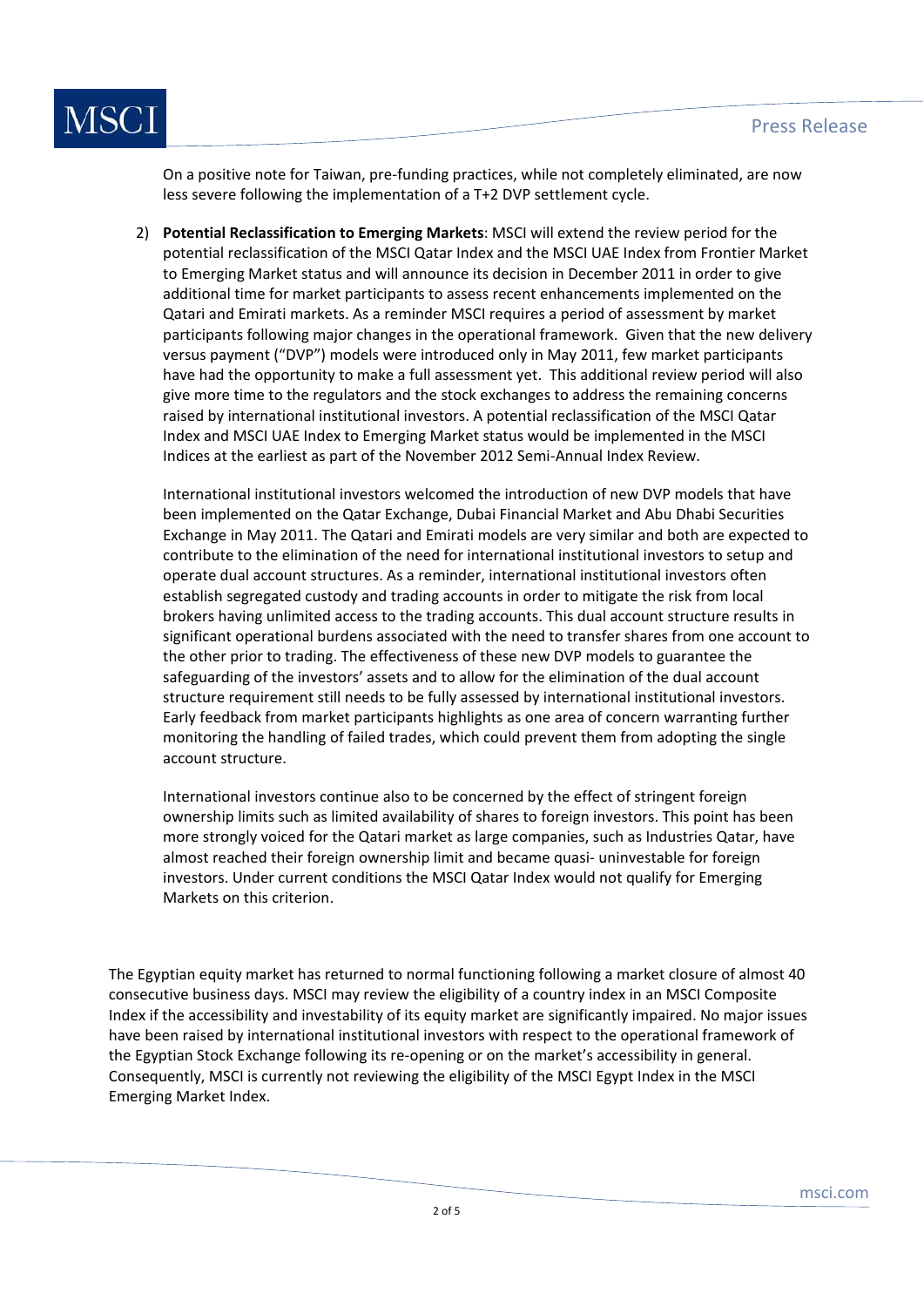

On a positive note for Taiwan, pre‐funding practices, while not completely eliminated, are now less severe following the implementation of a T+2 DVP settlement cycle.

2) **Potential Reclassification to Emerging Markets**: MSCI will extend the review period for the potential reclassification of the MSCI Qatar Index and the MSCI UAE Index from Frontier Market to Emerging Market status and will announce its decision in December 2011 in order to give additional time for market participants to assess recent enhancements implemented on the Qatari and Emirati markets. As a reminder MSCI requires a period of assessment by market participants following major changes in the operational framework. Given that the new delivery versus payment ("DVP") models were introduced only in May 2011, few market participants have had the opportunity to make a full assessment yet. This additional review period will also give more time to the regulators and the stock exchanges to address the remaining concerns raised by international institutional investors. A potential reclassification of the MSCI Qatar Index and MSCI UAE Index to Emerging Market status would be implemented in the MSCI Indices at the earliest as part of the November 2012 Semi‐Annual Index Review.

International institutional investors welcomed the introduction of new DVP models that have been implemented on the Qatar Exchange, Dubai Financial Market and Abu Dhabi Securities Exchange in May 2011. The Qatari and Emirati models are very similar and both are expected to contribute to the elimination of the need for international institutional investors to setup and operate dual account structures. As a reminder, international institutional investors often establish segregated custody and trading accounts in order to mitigate the risk from local brokers having unlimited access to the trading accounts. This dual account structure results in significant operational burdens associated with the need to transfer shares from one account to the other prior to trading. The effectiveness of these new DVP models to guarantee the safeguarding of the investors' assets and to allow for the elimination of the dual account structure requirement still needs to be fully assessed by international institutional investors. Early feedback from market participants highlights as one area of concern warranting further monitoring the handling of failed trades, which could prevent them from adopting the single account structure.

International investors continue also to be concerned by the effect of stringent foreign ownership limits such as limited availability of shares to foreign investors. This point has been more strongly voiced for the Qatari market as large companies, such as Industries Qatar, have almost reached their foreign ownership limit and became quasi- uninvestable for foreign investors. Under current conditions the MSCI Qatar Index would not qualify for Emerging Markets on this criterion.

The Egyptian equity market has returned to normal functioning following a market closure of almost 40 consecutive business days. MSCI may review the eligibility of a country index in an MSCI Composite Index if the accessibility and investability of its equity market are significantly impaired. No major issues have been raised by international institutional investors with respect to the operational framework of the Egyptian Stock Exchange following its re‐opening or on the market's accessibility in general. Consequently, MSCI is currently not reviewing the eligibility of the MSCI Egypt Index in the MSCI Emerging Market Index.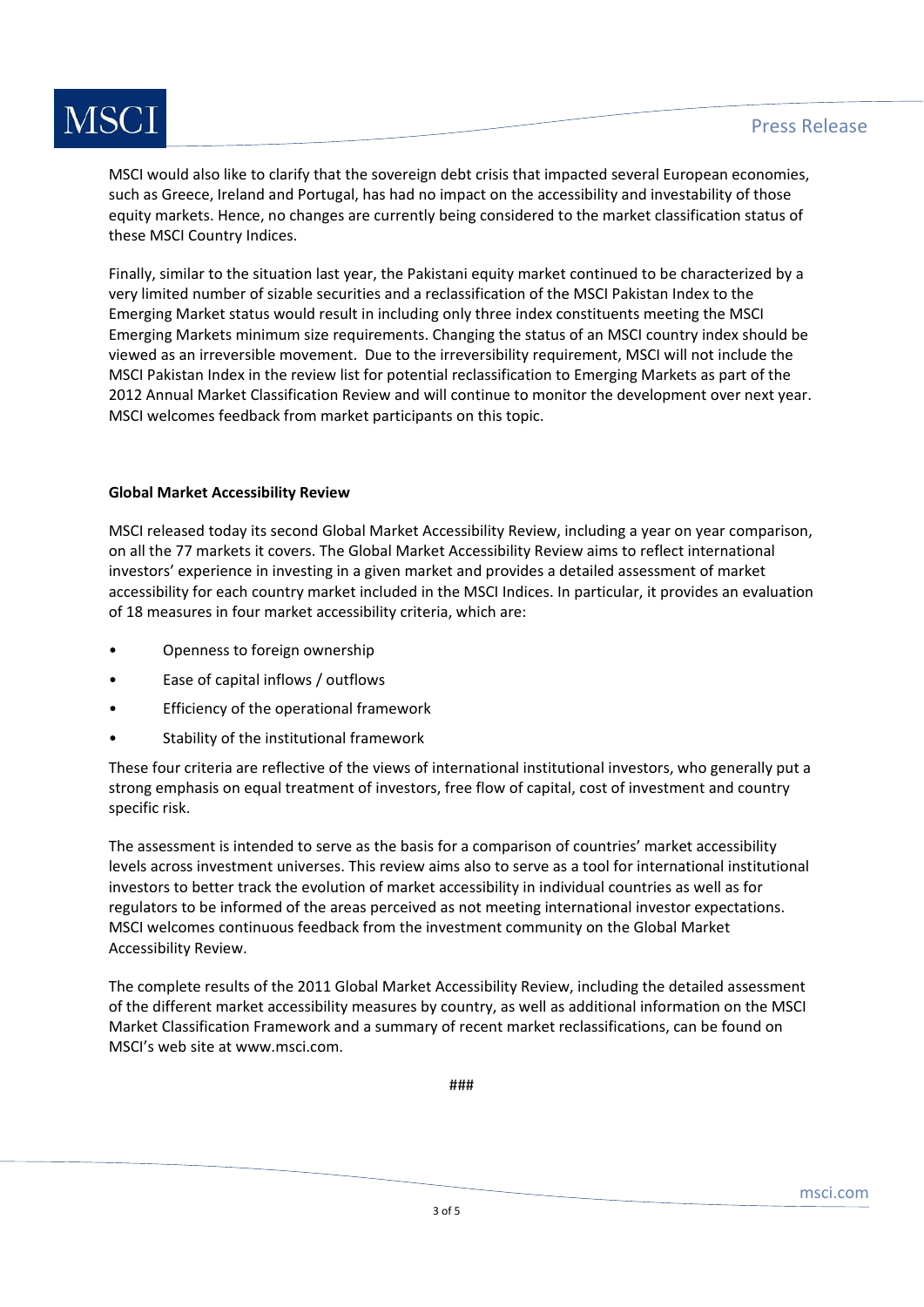

MSCI would also like to clarify that the sovereign debt crisis that impacted several European economies, such as Greece, Ireland and Portugal, has had no impact on the accessibility and investability of those equity markets. Hence, no changes are currently being considered to the market classification status of these MSCI Country Indices.

Finally, similar to the situation last year, the Pakistani equity market continued to be characterized by a very limited number of sizable securities and a reclassification of the MSCI Pakistan Index to the Emerging Market status would result in including only three index constituents meeting the MSCI Emerging Markets minimum size requirements. Changing the status of an MSCI country index should be viewed as an irreversible movement. Due to the irreversibility requirement, MSCI will not include the MSCI Pakistan Index in the review list for potential reclassification to Emerging Markets as part of the 2012 Annual Market Classification Review and will continue to monitor the development over next year. MSCI welcomes feedback from market participants on this topic.

### **Global Market Accessibility Review**

MSCI released today its second Global Market Accessibility Review, including a year on year comparison, on all the 77 markets it covers. The Global Market Accessibility Review aims to reflect international investors' experience in investing in a given market and provides a detailed assessment of market accessibility for each country market included in the MSCI Indices. In particular, it provides an evaluation of 18 measures in four market accessibility criteria, which are:

- Openness to foreign ownership
- Ease of capital inflows / outflows
- Efficiency of the operational framework
- Stability of the institutional framework

These four criteria are reflective of the views of international institutional investors, who generally put a strong emphasis on equal treatment of investors, free flow of capital, cost of investment and country specific risk.

The assessment is intended to serve as the basis for a comparison of countries' market accessibility levels across investment universes. This review aims also to serve as a tool for international institutional investors to better track the evolution of market accessibility in individual countries as well as for regulators to be informed of the areas perceived as not meeting international investor expectations. MSCI welcomes continuous feedback from the investment community on the Global Market Accessibility Review.

The complete results of the 2011 Global Market Accessibility Review, including the detailed assessment of the different market accessibility measures by country, as well as additional information on the MSCI Market Classification Framework and a summary of recent market reclassifications, can be found on MSCI's web site at www.msci.com.

###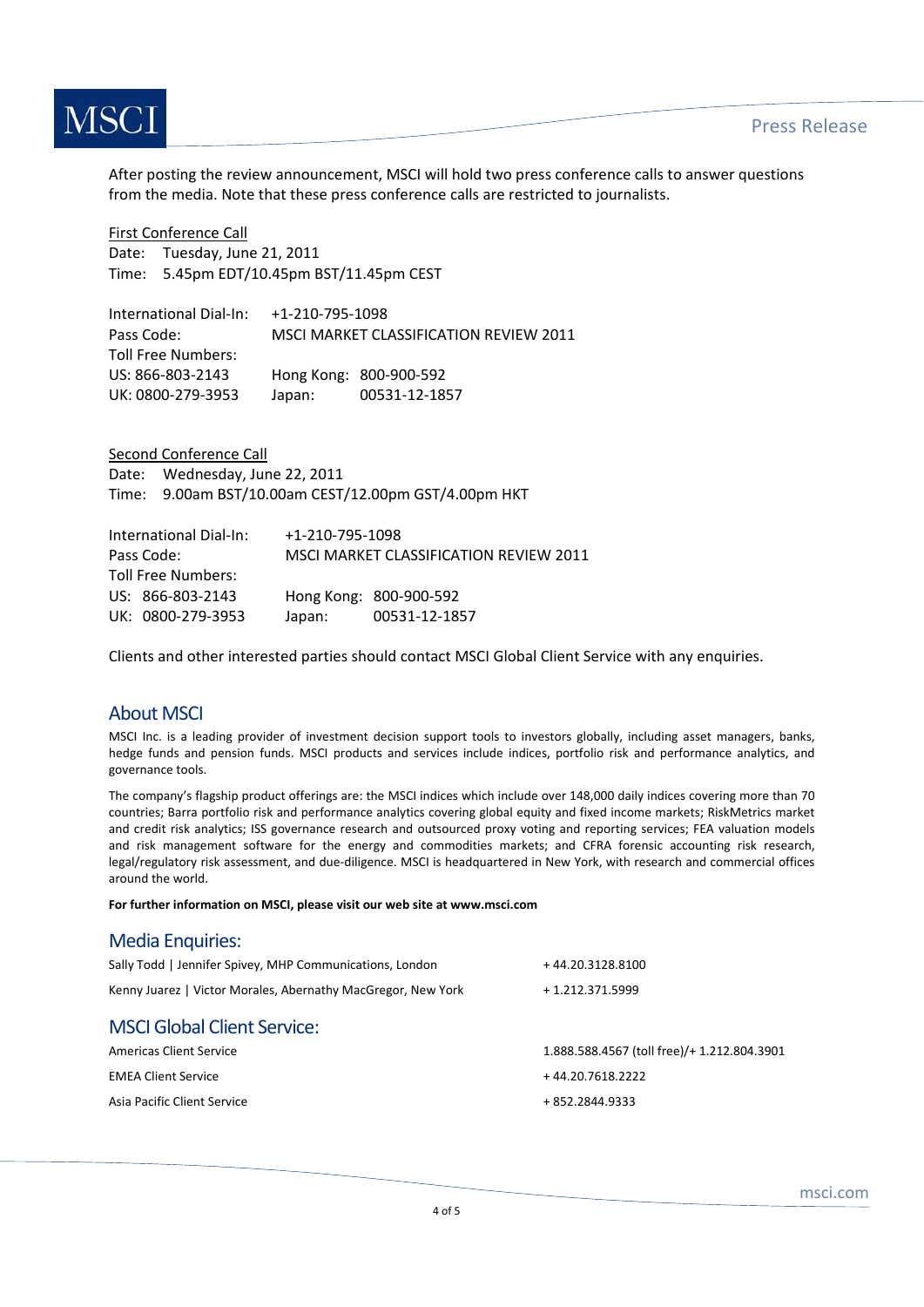

After posting the review announcement, MSCI will hold two press conference calls to answer questions from the media. Note that these press conference calls are restricted to journalists.

First Conference Call Date: Tuesday, June 21, 2011 Time: 5.45pm EDT/10.45pm BST/11.45pm CEST

| International Dial-In: | +1-210-795-1098                        |                        |  |
|------------------------|----------------------------------------|------------------------|--|
| Pass Code:             | MSCI MARKET CLASSIFICATION REVIEW 2011 |                        |  |
| Toll Free Numbers:     |                                        |                        |  |
| US: 866-803-2143       |                                        | Hong Kong: 800-900-592 |  |
| UK: 0800-279-3953      | Japan:                                 | 00531-12-1857          |  |

Second Conference Call Date: Wednesday, June 22, 2011 Time: 9.00am BST/10.00am CEST/12.00pm GST/4.00pm HKT

| International Dial-In: | +1-210-795-1098                        |                        |
|------------------------|----------------------------------------|------------------------|
| Pass Code:             | MSCI MARKET CLASSIFICATION REVIEW 2011 |                        |
| Toll Free Numbers:     |                                        |                        |
| US: 866-803-2143       |                                        | Hong Kong: 800-900-592 |
| UK: 0800-279-3953      | Japan:                                 | 00531-12-1857          |

Clients and other interested parties should contact MSCI Global Client Service with any enquiries.

## About MSCI

MSCI Inc. is a leading provider of investment decision support tools to investors globally, including asset managers, banks, hedge funds and pension funds. MSCI products and services include indices, portfolio risk and performance analytics, and governance tools.

The company's flagship product offerings are: the MSCI indices which include over 148,000 daily indices covering more than 70 countries; Barra portfolio risk and performance analytics covering global equity and fixed income markets; RiskMetrics market and credit risk analytics; ISS governance research and outsourced proxy voting and reporting services; FEA valuation models and risk management software for the energy and commodities markets; and CFRA forensic accounting risk research, legal/regulatory risk assessment, and due‐diligence. MSCI is headquartered in New York, with research and commercial offices around the world.

**For further information on MSCI, please visit our web site at www.msci.com**

### Media Enquiries:

| Sally Todd   Jennifer Spivey, MHP Communications, London     | +44.20.3128.8100                            |
|--------------------------------------------------------------|---------------------------------------------|
| Kenny Juarez   Victor Morales, Abernathy MacGregor, New York | + 1.212.371.5999                            |
| <b>MSCI Global Client Service:</b>                           |                                             |
| Americas Client Service                                      | 1.888.588.4567 (toll free)/+ 1.212.804.3901 |
| <b>EMEA Client Service</b>                                   | +44.20.7618.2222                            |
| Asia Pacific Client Service                                  | +852.2844.9333                              |